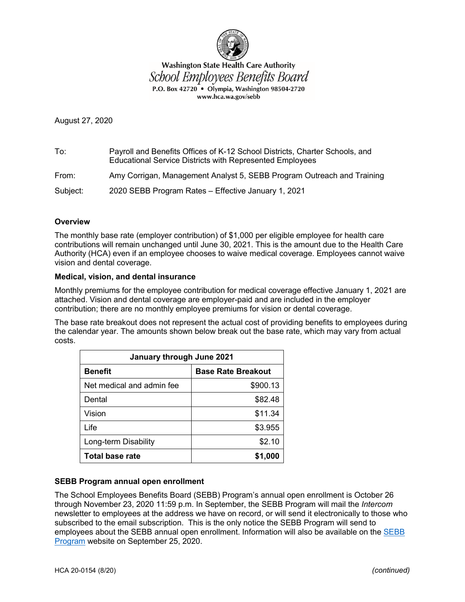

**Washington State Health Care Authority** School Employees Benefits Board P.O. Box 42720 . Olympia, Washington 98504-2720 www.hca.wa.gov/sebb

August 27, 2020

To: Payroll and Benefits Offices of K-12 School Districts, Charter Schools, and Educational Service Districts with Represented Employees From: Amy Corrigan, Management Analyst 5, SEBB Program Outreach and Training

Subject: 2020 SEBB Program Rates – Effective January 1, 2021

# **Overview**

The monthly base rate (employer contribution) of \$1,000 per eligible employee for health care contributions will remain unchanged until June 30, 2021. This is the amount due to the Health Care Authority (HCA) even if an employee chooses to waive medical coverage. Employees cannot waive vision and dental coverage.

# **Medical, vision, and dental insurance**

Monthly premiums for the employee contribution for medical coverage effective January 1, 2021 are attached. Vision and dental coverage are employer-paid and are included in the employer contribution; there are no monthly employee premiums for vision or dental coverage.

The base rate breakout does not represent the actual cost of providing benefits to employees during the calendar year. The amounts shown below break out the base rate, which may vary from actual costs.

| January through June 2021 |                           |  |  |  |  |  |  |  |  |
|---------------------------|---------------------------|--|--|--|--|--|--|--|--|
| <b>Benefit</b>            | <b>Base Rate Breakout</b> |  |  |  |  |  |  |  |  |
| Net medical and admin fee | \$900.13                  |  |  |  |  |  |  |  |  |
| Dental                    | \$82.48                   |  |  |  |  |  |  |  |  |
| Vision                    | \$11.34                   |  |  |  |  |  |  |  |  |
| Life                      | \$3.955                   |  |  |  |  |  |  |  |  |
| Long-term Disability      | \$2.10                    |  |  |  |  |  |  |  |  |
| <b>Total base rate</b>    | \$1,000                   |  |  |  |  |  |  |  |  |

# **SEBB Program annual open enrollment**

The School Employees Benefits Board (SEBB) Program's annual open enrollment is October 26 through November 23, 2020 11:59 p.m. In September, the SEBB Program will mail the *Intercom*  newsletter to employees at the address we have on record, or will send it electronically to those who subscribed to the email subscription. This is the only notice the SEBB Program will send to employees about the SEBB annual open enrollment. Information will also be available on the [SEBB](https://www.hca.wa.gov/employee-retiree-benefits/school-employees)  [Program](https://www.hca.wa.gov/employee-retiree-benefits/school-employees) website on September 25, 2020.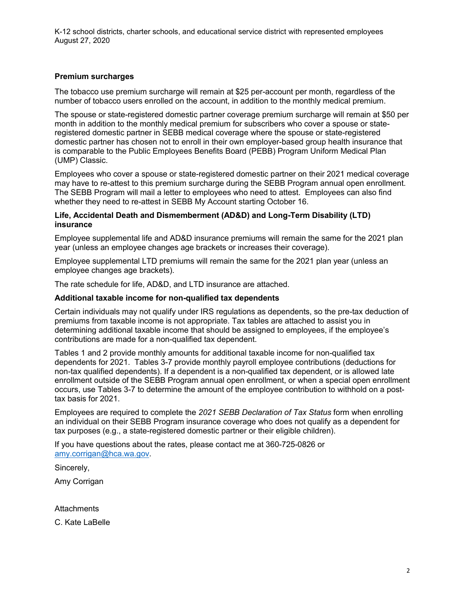K-12 school districts, charter schools, and educational service district with represented employees August 27, 2020

# **Premium surcharges**

The tobacco use premium surcharge will remain at \$25 per-account per month, regardless of the number of tobacco users enrolled on the account, in addition to the monthly medical premium.

The spouse or state-registered domestic partner coverage premium surcharge will remain at \$50 per month in addition to the monthly medical premium for subscribers who cover a spouse or stateregistered domestic partner in SEBB medical coverage where the spouse or state-registered domestic partner has chosen not to enroll in their own employer-based group health insurance that is comparable to the Public Employees Benefits Board (PEBB) Program Uniform Medical Plan (UMP) Classic.

Employees who cover a spouse or state-registered domestic partner on their 2021 medical coverage may have to re-attest to this premium surcharge during the SEBB Program annual open enrollment. The SEBB Program will mail a letter to employees who need to attest. Employees can also find whether they need to re-attest in SEBB My Account starting October 16.

# **Life, Accidental Death and Dismemberment (AD&D) and Long-Term Disability (LTD) insurance**

Employee supplemental life and AD&D insurance premiums will remain the same for the 2021 plan year (unless an employee changes age brackets or increases their coverage).

Employee supplemental LTD premiums will remain the same for the 2021 plan year (unless an employee changes age brackets).

The rate schedule for life, AD&D, and LTD insurance are attached.

# **Additional taxable income for non-qualified tax dependents**

Certain individuals may not qualify under IRS regulations as dependents, so the pre-tax deduction of premiums from taxable income is not appropriate. Tax tables are attached to assist you in determining additional taxable income that should be assigned to employees, if the employee's contributions are made for a non-qualified tax dependent.

Tables 1 and 2 provide monthly amounts for additional taxable income for non-qualified tax dependents for 2021. Tables 3-7 provide monthly payroll employee contributions (deductions for non-tax qualified dependents). If a dependent is a non-qualified tax dependent, or is allowed late enrollment outside of the SEBB Program annual open enrollment, or when a special open enrollment occurs, use Tables 3-7 to determine the amount of the employee contribution to withhold on a posttax basis for 2021.

Employees are required to complete the *2021 SEBB Declaration of Tax Status* form when enrolling an individual on their SEBB Program insurance coverage who does not qualify as a dependent for tax purposes (e.g., a state-registered domestic partner or their eligible children).

If you have questions about the rates, please contact me at 360-725-0826 or [amy.corrigan@hca.wa.gov.](mailto:amy.corrigan@hca.wa.gov)

Sincerely,

Amy Corrigan

**Attachments** 

C. Kate LaBelle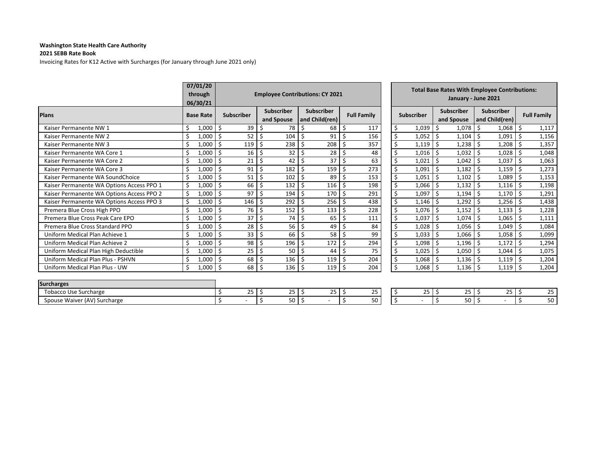#### **2021 SEBB Rate Book**

Invoicing Rates for K12 Active with Surcharges (for January through June 2021 only)

|                                           |             | 07/01/20<br>through<br>06/30/21 |     | <b>Employee Contributions: CY 2021</b> |                                 |      |                                     |      |                    | <b>Total Base Rates With Employee Contributions:</b><br>January - June 2021 |                   |                                 |  |                                     |                    |
|-------------------------------------------|-------------|---------------------------------|-----|----------------------------------------|---------------------------------|------|-------------------------------------|------|--------------------|-----------------------------------------------------------------------------|-------------------|---------------------------------|--|-------------------------------------|--------------------|
| <b>Plans</b>                              |             | <b>Base Rate</b>                |     | <b>Subscriber</b>                      | <b>Subscriber</b><br>and Spouse |      | <b>Subscriber</b><br>and Child(ren) |      | <b>Full Family</b> |                                                                             | <b>Subscriber</b> | <b>Subscriber</b><br>and Spouse |  | <b>Subscriber</b><br>and Child(ren) | <b>Full Family</b> |
| Kaiser Permanente NW 1                    |             | 1,000                           | -Ś  | 39                                     | 78<br>-S                        | ۱s   | 68                                  | l\$  | 117                | \$                                                                          | 1,039             | 1,078                           |  | 1,068                               | 1,117<br>-S        |
| Kaiser Permanente NW 2                    |             | 1,000                           | -Ś  | 52                                     | 104                             |      | 91                                  |      | 156                | \$                                                                          | 1,052             | 1,104                           |  | 1,091                               | 1,156              |
| Kaiser Permanente NW 3                    |             | 1,000                           |     | 119                                    | 238                             |      | 208                                 |      | 357                |                                                                             | 1,119             | 1,238                           |  | 1,208                               | 1,357              |
| Kaiser Permanente WA Core 1               | $\varsigma$ | 1,000                           |     | 16                                     | 32<br>-S                        | l \$ | 28                                  | l \$ | 48                 |                                                                             | 1,016             | 1,032                           |  | 1,028                               | 1,048              |
| Kaiser Permanente WA Core 2               |             | 1,000                           | -S  | 21                                     | 42<br>-S                        | l \$ | 37                                  | l\$  | 63                 |                                                                             | 1,021             | 1,042                           |  | 1,037                               | 1,063              |
| Kaiser Permanente WA Core 3               |             | 1,000                           | -Ś  | 91                                     | 182                             |      | 159                                 |      | 273                | \$                                                                          | 1,091             | 1,182                           |  | 1,159                               | 1,273              |
| Kaiser Permanente WA SoundChoice          |             | 1,000                           | S,  | 51                                     | 102                             |      | 89                                  |      | 153                |                                                                             | 1,051             | 1,102                           |  | 1,089                               | 1,153              |
| Kaiser Permanente WA Options Access PPO 1 | $\varsigma$ | 1,000                           | - Ś | 66                                     | 132<br>-\$                      |      | $116 \,$ \$                         |      | 198                | \$                                                                          | 1,066             | 1,132                           |  | 1,116                               | 1,198              |
| Kaiser Permanente WA Options Access PPO 2 |             | 1,000                           | -Ś  | 97                                     | 194                             | -S   | 170                                 | l S  | 291                |                                                                             | 1,097             | 1,194                           |  | 1,170                               | 1,291              |
| Kaiser Permanente WA Options Access PPO 3 | Ś           | 1,000                           | -Ś  | 146                                    | 292                             |      | 256                                 |      | 438                | \$                                                                          | $1,146$ \$        | 1,292                           |  | $1,256$ \$                          | 1,438              |
| Premera Blue Cross High PPO               |             | 1,000                           | S   | 76                                     | 152                             |      | 133                                 |      | 228                |                                                                             | 1,076             | 1,152                           |  | 1,133                               | 1,228              |
| Premera Blue Cross Peak Care EPO          | Ś,          | 1,000                           | -\$ | 37                                     | \$<br>74                        | l \$ | 65                                  |      | 111                |                                                                             | 1,037             | 1,074                           |  | 1,065                               | 1,111              |
| Premera Blue Cross Standard PPO           |             | 1,000                           | - Ś | 28                                     | 56<br>- S                       | l S  | 49                                  | l Ś  | 84                 |                                                                             | 1,028             | 1,056                           |  | 1,049                               | 1,084              |
| Uniform Medical Plan Achieve 1            |             | 1,000                           | - Ś | 33                                     | 66                              | -Ś   | 58                                  | ۱Ś   | 99                 | \$                                                                          | 1,033             | 1,066                           |  | 1,058                               | 1,099              |
| Uniform Medical Plan Achieve 2            |             | 1,000                           | . Ś | 98                                     | 196                             |      | 172                                 |      | 294                |                                                                             | 1,098             | 1,196                           |  | 1,172                               | 1,294              |
| Uniform Medical Plan High Deductible      |             | 1,000                           | -\$ | 25                                     | -\$<br>50                       | l \$ | 44                                  |      | 75                 | \$                                                                          | 1,025             | 1,050                           |  | 1,044                               | 1,075              |
| Uniform Medical Plan Plus - PSHVN         | Ś           | 1,000                           | - Ś | 68                                     | 136<br>-\$                      | l S  | 119                                 |      | 204                | \$                                                                          | 1,068             | 1,136                           |  | 1,119                               | 1,204              |
| Uniform Medical Plan Plus - UW            | Ś           | $1,000$ \$                      |     | 68                                     | 136                             |      | 119                                 |      | 204                | Ś.                                                                          | $1,068$ \$        | $1,136$   \$                    |  | $1,119$ \$                          | 1,204              |

|                       | <b>ovee Contributions: CY 2021</b>  |                    | <b>Total Base Rates With Employee Contributions:</b><br>January - June 2021 |                   |    |                                 |    |                                     |    |                    |  |  |
|-----------------------|-------------------------------------|--------------------|-----------------------------------------------------------------------------|-------------------|----|---------------------------------|----|-------------------------------------|----|--------------------|--|--|
| ıbscriber<br>d Spouse | <b>Subscriber</b><br>and Child(ren) | <b>Full Family</b> |                                                                             | <b>Subscriber</b> |    | <b>Subscriber</b><br>and Spouse |    | <b>Subscriber</b><br>and Child(ren) |    | <b>Full Family</b> |  |  |
| 78                    | \$<br>68                            | \$<br>117          | \$                                                                          | 1,039             | \$ | 1,078                           | \$ | 1,068                               | \$ | 1,117              |  |  |
| 104                   | \$<br>91                            | \$<br>156          | \$                                                                          | 1,052             | \$ | 1,104                           | \$ | 1,091                               | \$ | 1,156              |  |  |
| 238                   | \$<br>208                           | \$<br>357          | \$                                                                          | 1,119             | \$ | 1,238                           | \$ | 1,208                               | \$ | 1,357              |  |  |
| 32                    | \$<br>28                            | \$<br>48           | \$                                                                          | 1,016             | \$ | 1,032                           | \$ | 1,028                               | \$ | 1,048              |  |  |
| 42                    | \$<br>37                            | \$<br>63           | \$                                                                          | 1,021             | \$ | 1,042                           | \$ | 1,037                               | \$ | 1,063              |  |  |
| 182                   | \$<br>159                           | \$<br>273          | \$                                                                          | 1,091             | \$ | 1,182                           | \$ | 1,159                               | \$ | 1,273              |  |  |
| 102                   | \$<br>89                            | \$<br>153          | \$                                                                          | 1,051             | \$ | 1,102                           | \$ | 1,089                               | \$ | 1,153              |  |  |
| 132                   | \$<br>116                           | \$<br>198          | \$                                                                          | 1,066             | \$ | 1,132                           | \$ | 1,116                               | \$ | 1,198              |  |  |
| 194                   | \$<br>170                           | \$<br>291          | \$                                                                          | 1,097             | \$ | 1,194                           | \$ | 1,170                               | \$ | 1,291              |  |  |
| 292                   | \$<br>256                           | \$<br>438          | \$                                                                          | 1,146             | \$ | 1,292                           | \$ | 1,256                               | \$ | 1,438              |  |  |
| 152                   | \$<br>133                           | \$<br>228          | \$                                                                          | 1,076             | \$ | 1,152                           | \$ | 1,133                               | \$ | 1,228              |  |  |
| 74                    | \$<br>65                            | \$<br>111          | \$                                                                          | 1,037             | \$ | 1,074                           | \$ | 1,065                               | \$ | 1,111              |  |  |
| 56                    | \$<br>49                            | \$<br>84           | \$                                                                          | 1,028             | \$ | 1,056                           | \$ | 1,049                               | \$ | 1,084              |  |  |
| 66                    | \$<br>58                            | \$<br>99           | \$                                                                          | 1,033             | \$ | 1,066                           | \$ | 1,058                               | \$ | 1,099              |  |  |
| 196                   | \$<br>172                           | \$<br>294          | \$                                                                          | 1,098             | \$ | 1,196                           | \$ | 1,172                               | \$ | 1,294              |  |  |
| 50                    | \$<br>44                            | \$<br>75           | \$                                                                          | 1,025             | \$ | 1,050                           | \$ | 1,044                               | \$ | 1,075              |  |  |
| 136                   | \$<br>119                           | \$<br>204          | \$                                                                          | 1,068             | \$ | 1,136                           | \$ | 1,119                               | \$ | 1,204              |  |  |
| 136                   | Ŝ.<br>119                           | Ś<br>204           | Ś                                                                           | 1.068             | Ś  | 1.136                           | Ś  | 1.119                               | Ś  | 1.204              |  |  |

| <b>Surcharges</b>               |                           |            |            |                     |               |                           |                  |                  |
|---------------------------------|---------------------------|------------|------------|---------------------|---------------|---------------------------|------------------|------------------|
| <b>Tobacco Use Surcharge</b>    | $\sim$ $\sim$<br>,∟<br>رے | $\sim$ $-$ | $\sim$ $-$ | $\sim$ $\sim$<br>-- | $\sim$ $\sim$ | $\sim$ $\sim$<br><u>.</u> | $\sim$ $-$<br>-- | $\sim$ $-$<br>۔۔ |
| Spouse Waiver (AV)<br>Surcharge |                           | 50<br>Ju   |            | <b>JU</b>           |               | 50                        |                  | 50<br>しし         |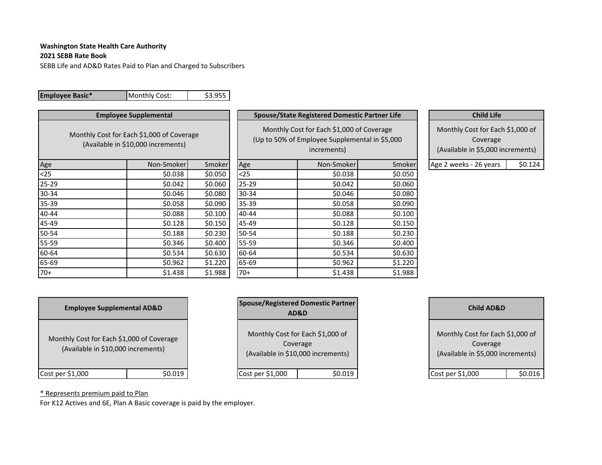### **2021 SEBB Rate Book**

SEBB Life and AD&D Rates Paid to Plan and Charged to Subscribers

| <b>Employee Basic*</b> | Monthly Cost:                                                                   | \$3.955 |           |                                                                                                            |         |                                                                                   |         |
|------------------------|---------------------------------------------------------------------------------|---------|-----------|------------------------------------------------------------------------------------------------------------|---------|-----------------------------------------------------------------------------------|---------|
|                        | <b>Employee Supplemental</b>                                                    |         |           | <b>Spouse/State Registered Domestic Partner Life</b>                                                       |         | <b>Child Life</b>                                                                 |         |
|                        | Monthly Cost for Each \$1,000 of Coverage<br>(Available in \$10,000 increments) |         |           | Monthly Cost for Each \$1,000 of Coverage<br>(Up to 50% of Employee Supplemental in \$5,000<br>increments) |         | Monthly Cost for Each \$1,000 of<br>Coverage<br>(Available in \$5,000 increments) |         |
| Age                    | Non-Smoker                                                                      | Smoker  | Age       | Non-Smoker                                                                                                 | Smoker  | Age 2 weeks - 26 years                                                            | \$0.124 |
| $25$                   | \$0.038                                                                         | \$0.050 | $25$      | \$0.038                                                                                                    | \$0.050 |                                                                                   |         |
| $25 - 29$              | \$0.042                                                                         | \$0.060 | $25 - 29$ | \$0.042                                                                                                    | \$0.060 |                                                                                   |         |
| 30-34                  | \$0.046                                                                         | \$0.080 | 30-34     | \$0.046                                                                                                    | \$0.080 |                                                                                   |         |
| 35-39                  | \$0.058                                                                         | \$0.090 | 35-39     | \$0.058                                                                                                    | \$0.090 |                                                                                   |         |
| 40-44                  | \$0.088                                                                         | \$0.100 | 40-44     | \$0.088                                                                                                    | \$0.100 |                                                                                   |         |
| 45-49                  | \$0.128                                                                         | \$0.150 | 45-49     | \$0.128                                                                                                    | \$0.150 |                                                                                   |         |
| 50-54                  | \$0.188                                                                         | \$0.230 | 50-54     | \$0.188                                                                                                    | \$0.230 |                                                                                   |         |
| 55-59                  | \$0.346                                                                         | \$0.400 | 55-59     | \$0.346                                                                                                    | \$0.400 |                                                                                   |         |
| 60-64                  | \$0.534                                                                         | \$0.630 | 60-64     | \$0.534                                                                                                    | \$0.630 |                                                                                   |         |
| 65-69                  | \$0.962                                                                         | \$1.220 | 65-69     | \$0.962                                                                                                    | \$1.220 |                                                                                   |         |
| $70+$                  | \$1.438                                                                         | \$1.988 | $70+$     | \$1.438                                                                                                    | \$1.988 |                                                                                   |         |

|                                                                                 | <b>Employee Supplemental AD&amp;D</b> |  | AD&D             | Spouse/Registered Domestic Partner                                     | <b>Child AD&amp;D</b>                                                             |         |  |  |  |
|---------------------------------------------------------------------------------|---------------------------------------|--|------------------|------------------------------------------------------------------------|-----------------------------------------------------------------------------------|---------|--|--|--|
| Monthly Cost for Each \$1,000 of Coverage<br>(Available in \$10,000 increments) |                                       |  | Coverage         | Monthly Cost for Each \$1,000 of<br>(Available in \$10,000 increments) | Monthly Cost for Each \$1,000 of<br>Coverage<br>(Available in \$5,000 increments) |         |  |  |  |
| Cost per \$1,000                                                                | \$0.019                               |  | Cost per \$1,000 | \$0.019                                                                | Cost per \$1,000                                                                  | \$0.016 |  |  |  |

| <b>Spouse/Registered Domestic Partner</b><br>AD&D                                  |         | <b>Child AD&amp;</b>                                        |
|------------------------------------------------------------------------------------|---------|-------------------------------------------------------------|
| Monthly Cost for Each \$1,000 of<br>Coverage<br>(Available in \$10,000 increments) |         | Monthly Cost for Eac<br>Coverage<br>(Available in \$5,000 i |
| Cost per \$1,000                                                                   | \$0.019 | Cost per \$1,000                                            |

| <b>Child AD&amp;D</b>                                                             |       |
|-----------------------------------------------------------------------------------|-------|
| Monthly Cost for Each \$1,000 of<br>Coverage<br>(Available in \$5,000 increments) |       |
| Cost per \$1,000                                                                  | 0.016 |

\* Represents premium paid to Plan

For K12 Actives and 6E, Plan A Basic coverage is paid by the employer.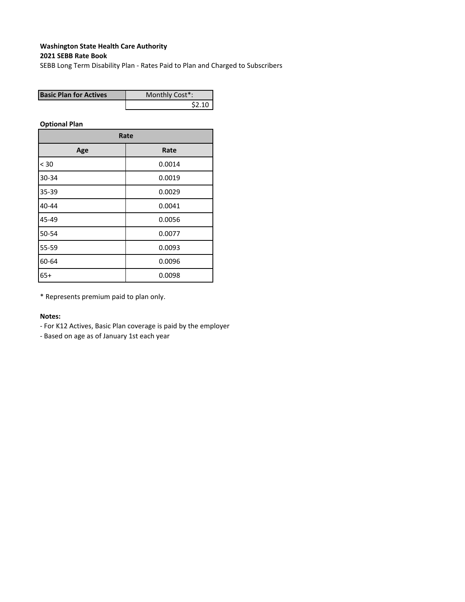# **2021 SEBB Rate Book**

SEBB Long Term Disability Plan ‐ Rates Paid to Plan and Charged to Subscribers

| <b>Basic Plan for Actives</b> | Monthly Cost*: |
|-------------------------------|----------------|
|                               | \$2.10         |

**Optional Plan**

| Rate  |        |  |  |  |  |  |  |  |  |
|-------|--------|--|--|--|--|--|--|--|--|
| Age   | Rate   |  |  |  |  |  |  |  |  |
| < 30  | 0.0014 |  |  |  |  |  |  |  |  |
| 30-34 | 0.0019 |  |  |  |  |  |  |  |  |
| 35-39 | 0.0029 |  |  |  |  |  |  |  |  |
| 40-44 | 0.0041 |  |  |  |  |  |  |  |  |
| 45-49 | 0.0056 |  |  |  |  |  |  |  |  |
| 50-54 | 0.0077 |  |  |  |  |  |  |  |  |
| 55-59 | 0.0093 |  |  |  |  |  |  |  |  |
| 60-64 | 0.0096 |  |  |  |  |  |  |  |  |
| $65+$ | 0.0098 |  |  |  |  |  |  |  |  |

\* Represents premium paid to plan only.

### **Notes:**

- ‐ For K12 Actives, Basic Plan coverage is paid by the employer
- ‐ Based on age as of January 1st each year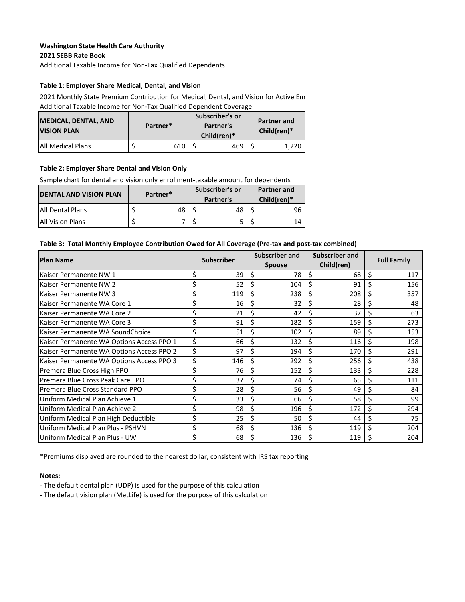## **2021 SEBB Rate Book Washington State Health Care Authority**

Additional Taxable Income for Non‐Tax Qualified Dependents

## **Table 1: Employer Share Medical, Dental, and Vision**

2021 Monthly State Premium Contribution for Medical, Dental, and Vision for Active Em Additional Taxable Income for Non‐Tax Qualified Dependent Coverage

| <b>MEDICAL, DENTAL, AND</b><br><b>VISION PLAN</b> | Partner* |     | Subscriber's or<br>Partner's<br>Child(ren)* | <b>Partner and</b><br>Child(ren)* |
|---------------------------------------------------|----------|-----|---------------------------------------------|-----------------------------------|
| <b>JAII Medical Plans</b>                         |          | 610 | 469                                         | 1,220                             |

## **Table 2: Employer Share Dental and Vision Only**

Sample chart for dental and vision only enrollment-taxable amount for dependents

| <b>DENTAL AND VISION PLAN</b> | Partner* | Subscriber's or<br>Partner's | <b>Partner and</b><br>$Children)*$ |    |  |  |  |
|-------------------------------|----------|------------------------------|------------------------------------|----|--|--|--|
| <b>IAII Dental Plans</b>      | 48       | 48                           |                                    | 96 |  |  |  |
| <b>JAIL Vision Plans</b>      |          |                              |                                    | 14 |  |  |  |

### Table 3: Total Monthly Employee Contribution Owed for All Coverage (Pre-tax and post-tax combined)

| <b>Plan Name</b>                          |    | <b>Subscriber</b> | Subscriber and |     |    | <b>Subscriber and</b> |    | <b>Full Family</b> |  |  |
|-------------------------------------------|----|-------------------|----------------|-----|----|-----------------------|----|--------------------|--|--|
|                                           |    |                   | <b>Spouse</b>  |     |    | Child(ren)            |    |                    |  |  |
| Kaiser Permanente NW 1                    | \$ | 39                | \$             | 78  | \$ | 68                    | \$ | 117                |  |  |
| Kaiser Permanente NW 2                    | \$ | 52                | \$             | 104 | Ś  | 91                    | \$ | 156                |  |  |
| Kaiser Permanente NW 3                    | \$ | 119               | \$             | 238 | \$ | 208                   | \$ | 357                |  |  |
| Kaiser Permanente WA Core 1               | \$ | 16                | \$             | 32  | \$ | 28                    | \$ | 48                 |  |  |
| Kaiser Permanente WA Core 2               | \$ | 21                | \$             | 42  | \$ | 37                    | \$ | 63                 |  |  |
| Kaiser Permanente WA Core 3               | \$ | 91                | \$             | 182 | \$ | 159                   | \$ | 273                |  |  |
| Kaiser Permanente WA SoundChoice          | \$ | 51                | \$             | 102 | \$ | 89                    | \$ | 153                |  |  |
| Kaiser Permanente WA Options Access PPO 1 | \$ | 66                | \$             | 132 | Ś  | 116                   | Ś  | 198                |  |  |
| Kaiser Permanente WA Options Access PPO 2 | \$ | 97                | \$             | 194 | \$ | 170                   | \$ | 291                |  |  |
| Kaiser Permanente WA Options Access PPO 3 | \$ | 146               | \$             | 292 | \$ | 256                   | \$ | 438                |  |  |
| Premera Blue Cross High PPO               | \$ | 76                | \$             | 152 | \$ | 133                   | \$ | 228                |  |  |
| Premera Blue Cross Peak Care EPO          | \$ | 37                | \$             | 74  | Ś  | 65                    | \$ | 111                |  |  |
| Premera Blue Cross Standard PPO           | \$ | 28                | \$             | 56  | \$ | 49                    | \$ | 84                 |  |  |
| Uniform Medical Plan Achieve 1            | \$ | 33                | \$             | 66  | \$ | 58                    | \$ | 99                 |  |  |
| Uniform Medical Plan Achieve 2            | \$ | 98                | \$             | 196 | \$ | 172                   |    | 294                |  |  |
| Uniform Medical Plan High Deductible      | \$ | 25                | \$             | 50  | Ś. | 44                    | \$ | 75                 |  |  |
| Uniform Medical Plan Plus - PSHVN         | \$ | 68                | \$             | 136 | Ś. | 119                   | \$ | 204                |  |  |
| Uniform Medical Plan Plus - UW            | \$ | 68                |                | 136 |    | 119                   | \$ | 204                |  |  |

\*Premiums displayed are rounded to the nearest dollar, consistent with IRS tax reporting

## **Notes:**

- ‐ The default dental plan (UDP) is used for the purpose of this calculation
- ‐ The default vision plan (MetLife) is used for the purpose of this calculation